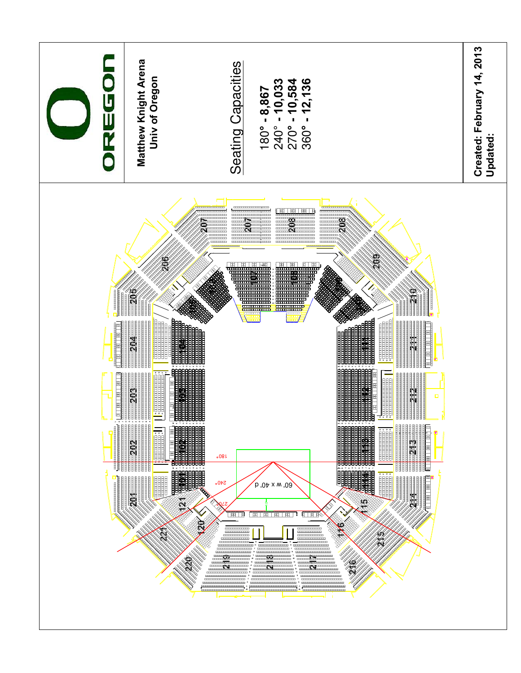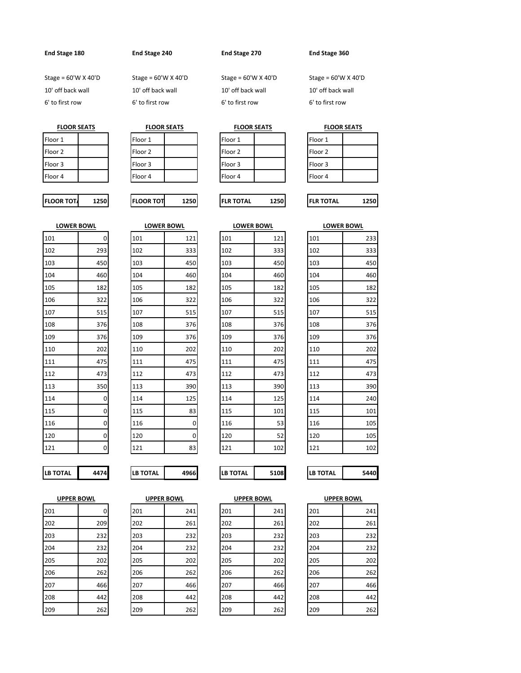**End Stage 180 End Stage 240 End Stage 270 End Stage 360**

Stage = 60'W X 40'D Stage = 60'W X 40'D Stage = 60'W X 40'D Stage = 60'W X 40'D

**FLOOR SEATS**

10' off back wall 10' off back wall 10' off back wall 10' off back wall 6' to first row 6' to first row 6' to first row 6' to first row

| <b>FLOOR SEATS</b> | <b>FLOOR SEATS</b> |
|--------------------|--------------------|
| $\sim$ $\sim$      |                    |

| Floor 1 | Floor 1 |  | Floor 1 |  | Floor 1            |
|---------|---------|--|---------|--|--------------------|
| Floor 2 | Floor 2 |  | Floor 2 |  | Floor <sub>2</sub> |
| Floor 3 | Floor 3 |  | Floor 3 |  | Floor 3            |
| Floor 4 | Floor 4 |  | Floor 4 |  | Floor 4            |

**FLOOR TOTA 1250 FLOOR TOT 1250 FLR TOTAL 1250 FLR TOTAL 1250**

| Floor 1 |  |
|---------|--|
| Floor 2 |  |
| Floor 3 |  |
| Floor 4 |  |

**FLOOR SEATS**

| Floor 1 |  |
|---------|--|
| Floor 2 |  |
| Floor 3 |  |
| Floor 4 |  |

| <b>LOWER BOWL</b> |     |  |  |  |  |
|-------------------|-----|--|--|--|--|
| 101               | 0   |  |  |  |  |
| 102               | 293 |  |  |  |  |
| 103               | 450 |  |  |  |  |
| 104               | 460 |  |  |  |  |
| 105               | 182 |  |  |  |  |
| 106               | 322 |  |  |  |  |
| 107               | 515 |  |  |  |  |
| 108               | 376 |  |  |  |  |
| 109               | 376 |  |  |  |  |
| 110               | 202 |  |  |  |  |
| 111               | 475 |  |  |  |  |
| 112               | 473 |  |  |  |  |
| 113               | 350 |  |  |  |  |
| 114               | 0   |  |  |  |  |
| 115               | 0   |  |  |  |  |
| 116               | 0   |  |  |  |  |
| 120               | 0   |  |  |  |  |
| 121               | Ó   |  |  |  |  |
|                   |     |  |  |  |  |

|     |              |     | <b>LOWER BOWL</b> |     | <b>LOWER BOWL</b> | <b>LOWER BOWL</b> |     |
|-----|--------------|-----|-------------------|-----|-------------------|-------------------|-----|
| 101 | $\mathbf 0$  | 101 | 121               | 101 | 121               | 101               | 233 |
| 102 | 293          | 102 | 333               | 102 | 333               | 102               | 333 |
| 103 | 450          | 103 | 450               | 103 | 450               | 103               | 450 |
| 104 | 460          | 104 | 460               | 104 | 460               | 104               | 460 |
| 105 | 182          | 105 | 182               | 105 | 182               | 105               | 182 |
| 106 | 322          | 106 | 322               | 106 | 322               | 106               | 322 |
| 107 | 515          | 107 | 515               | 107 | 515               | 107               | 515 |
| 108 | 376          | 108 | 376               | 108 | 376               | 108               | 376 |
| 109 | 376          | 109 | 376               | 109 | 376               | 109               | 376 |
| 110 | 202          | 110 | 202               | 110 | 202               | 110               | 202 |
| 111 | 475          | 111 | 475               | 111 | 475               | 111               | 475 |
| 112 | 473          | 112 | 473               | 112 | 473               | 112               | 473 |
| 113 | 350          | 113 | 390               | 113 | 390               | 113               | 390 |
| 114 | $\pmb{0}$    | 114 | 125               | 114 | 125               | 114               | 240 |
| 115 | $\pmb{0}$    | 115 | 83                | 115 | 101               | 115               | 101 |
| 116 | $\pmb{0}$    | 116 | 0                 | 116 | 53                | 116               | 105 |
| 120 | $\pmb{0}$    | 120 | 0                 | 120 | 52                | 120               | 105 |
| 121 | $\mathbf{0}$ | 121 | 83                | 121 | 102               | 121               | 102 |

| OWER BOWL. |     |  |  |  |  |
|------------|-----|--|--|--|--|
| 101        | 121 |  |  |  |  |
| 102        | 333 |  |  |  |  |
| 103        | 450 |  |  |  |  |
| 104        | 460 |  |  |  |  |
| 105        | 182 |  |  |  |  |
| 106        | 322 |  |  |  |  |
| 107        | 515 |  |  |  |  |
| 108        | 376 |  |  |  |  |
| 109        | 376 |  |  |  |  |
| 110        | 202 |  |  |  |  |
| 111        | 475 |  |  |  |  |
| 112        | 473 |  |  |  |  |
| 113        | 390 |  |  |  |  |
| 114        | 125 |  |  |  |  |
| 115        | 101 |  |  |  |  |
| 116        | 53  |  |  |  |  |
| 120        | 52  |  |  |  |  |
| 121        | 102 |  |  |  |  |
|            |     |  |  |  |  |

|     | <b>LOWER BOWL</b> |  |  |  |  |  |
|-----|-------------------|--|--|--|--|--|
| 101 | 233               |  |  |  |  |  |
| 102 | 333               |  |  |  |  |  |
| 103 | 450               |  |  |  |  |  |
| 104 | 460               |  |  |  |  |  |
| 105 | 182               |  |  |  |  |  |
| 106 | 322               |  |  |  |  |  |
| 107 | 515               |  |  |  |  |  |
| 108 | 376               |  |  |  |  |  |
| 109 | 376               |  |  |  |  |  |
| 110 | 202               |  |  |  |  |  |
| 111 | 475               |  |  |  |  |  |
| 112 | 473               |  |  |  |  |  |
| 113 | 390               |  |  |  |  |  |
| 114 | 240               |  |  |  |  |  |
| 115 | 101               |  |  |  |  |  |
| 116 | 105               |  |  |  |  |  |
| 120 | 105               |  |  |  |  |  |
| 121 | 102               |  |  |  |  |  |
|     |                   |  |  |  |  |  |

**LB TOTAL 4474 LB TOTAL 4966 LB TOTAL 5108 LB TOTAL 5440**

| <b>UPPER BOWL</b> |     |  |  |  |  |
|-------------------|-----|--|--|--|--|
| 201               | 0   |  |  |  |  |
| 202               | 209 |  |  |  |  |
| 203               | 232 |  |  |  |  |
| 204               | 232 |  |  |  |  |
| 205               | 202 |  |  |  |  |
| 206               | 262 |  |  |  |  |
| 207               | 466 |  |  |  |  |
| 208               | 442 |  |  |  |  |
| 209               | 262 |  |  |  |  |

|  | -- |  |
|--|----|--|
|  |    |  |
|  |    |  |
|  |    |  |

| ΤΟΤΑL<br>۱R. |  |
|--------------|--|
|              |  |

| <b>UPPER BOWL</b> |     |     | <b>UPPER BOWL</b> | <b>UPPER BOWL</b> |     | <b>UPPER BOWL</b> |     |
|-------------------|-----|-----|-------------------|-------------------|-----|-------------------|-----|
| 201               | 0   | 201 | 241               | 201               | 241 | 201               | 241 |
| 202               | 209 | 202 | 261               | 202               | 261 | 202               | 261 |
| 203               | 232 | 203 | 232               | 203               | 232 | 203               | 232 |
| 204               | 232 | 204 | 232               | 204               | 232 | 204               | 232 |
| 205               | 202 | 205 | 202               | 205               | 202 | 205               | 202 |
| 206               | 262 | 206 | 262               | 206               | 262 | 206               | 262 |
| 207               | 466 | 207 | 466               | 207               | 466 | 207               | 466 |
| 208               | 442 | 208 | 442               | 208               | 442 | 208               | 442 |
| 209               | 262 | 209 | 262               | 209               | 262 | 209               | 262 |

| <b>UPPER BOWL</b> |     |  |  |  |  |
|-------------------|-----|--|--|--|--|
| 201               | 241 |  |  |  |  |
| 202               | 261 |  |  |  |  |
| 203               | 232 |  |  |  |  |
| 204               | 232 |  |  |  |  |
| 205               | 202 |  |  |  |  |
| 206               | 262 |  |  |  |  |
| 207               | 466 |  |  |  |  |
| 208               | 442 |  |  |  |  |
| 209               | 262 |  |  |  |  |